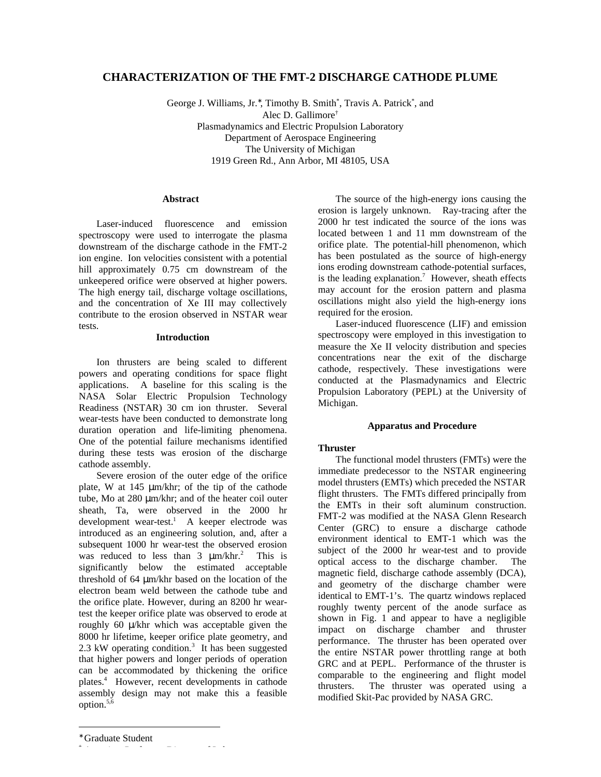# **CHARACTERIZATION OF THE FMT-2 DISCHARGE CATHODE PLUME**

George J. Williams, Jr., Timothy B. Smith\*, Travis A. Patrick\*, and Alec D. Gallimore† Plasmadynamics and Electric Propulsion Laboratory Department of Aerospace Engineering The University of Michigan 1919 Green Rd., Ann Arbor, MI 48105, USA

## **Abstract**

Laser-induced fluorescence and emission spectroscopy were used to interrogate the plasma downstream of the discharge cathode in the FMT-2 ion engine. Ion velocities consistent with a potential hill approximately 0.75 cm downstream of the unkeepered orifice were observed at higher powers. The high energy tail, discharge voltage oscillations, and the concentration of Xe III may collectively contribute to the erosion observed in NSTAR wear tests.

#### **Introduction**

Ion thrusters are being scaled to different powers and operating conditions for space flight applications. A baseline for this scaling is the NASA Solar Electric Propulsion Technology Readiness (NSTAR) 30 cm ion thruster. Several wear-tests have been conducted to demonstrate long duration operation and life-limiting phenomena. One of the potential failure mechanisms identified during these tests was erosion of the discharge cathode assembly.

Severe erosion of the outer edge of the orifice plate, W at  $145 \mu m/khr$ ; of the tip of the cathode tube, Mo at 280 μm/khr; and of the heater coil outer sheath, Ta, were observed in the 2000 hr development wear-test.<sup>1</sup> A keeper electrode was introduced as an engineering solution, and, after a subsequent 1000 hr wear-test the observed erosion was reduced to less than 3 μm/khr.<sup>2</sup> This is significantly below the estimated acceptable threshold of 64 μm/khr based on the location of the electron beam weld between the cathode tube and the orifice plate. However, during an 8200 hr weartest the keeper orifice plate was observed to erode at roughly 60 μ/khr which was acceptable given the 8000 hr lifetime, keeper orifice plate geometry, and 2.3 kW operating condition. $3$  It has been suggested that higher powers and longer periods of operation can be accommodated by thickening the orifice plates.<sup>4</sup> However, recent developments in cathode assembly design may not make this a feasible option.5,6

The source of the high-energy ions causing the erosion is largely unknown. Ray-tracing after the 2000 hr test indicated the source of the ions was located between 1 and 11 mm downstream of the orifice plate. The potential-hill phenomenon, which has been postulated as the source of high-energy ions eroding downstream cathode-potential surfaces, is the leading explanation.<sup>7</sup> However, sheath effects may account for the erosion pattern and plasma oscillations might also yield the high-energy ions required for the erosion.

Laser-induced fluorescence (LIF) and emission spectroscopy were employed in this investigation to measure the Xe II velocity distribution and species concentrations near the exit of the discharge cathode, respectively. These investigations were conducted at the Plasmadynamics and Electric Propulsion Laboratory (PEPL) at the University of Michigan.

# **Apparatus and Procedure**

# **Thruster**

The functional model thrusters (FMTs) were the immediate predecessor to the NSTAR engineering model thrusters (EMTs) which preceded the NSTAR flight thrusters. The FMTs differed principally from the EMTs in their soft aluminum construction. FMT-2 was modified at the NASA Glenn Research Center (GRC) to ensure a discharge cathode environment identical to EMT-1 which was the subject of the 2000 hr wear-test and to provide optical access to the discharge chamber. The magnetic field, discharge cathode assembly (DCA), and geometry of the discharge chamber were identical to EMT-1's. The quartz windows replaced roughly twenty percent of the anode surface as shown in Fig. 1 and appear to have a negligible impact on discharge chamber and thruster performance. The thruster has been operated over the entire NSTAR power throttling range at both GRC and at PEPL. Performance of the thruster is comparable to the engineering and flight model thrusters. The thruster was operated using a modified Skit-Pac provided by NASA GRC.

 $\overline{a}$ 

†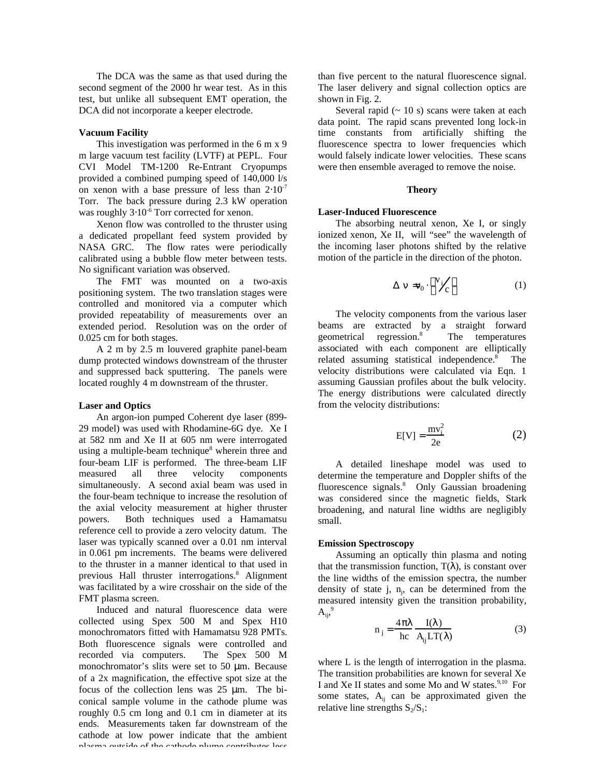The DCA was the same as that used during the second segment of the 2000 hr wear test. As in this test, but unlike all subsequent EMT operation, the DCA did not incorporate a keeper electrode.

#### **Vacuum Facility**

This investigation was performed in the 6 m x 9 m large vacuum test facility (LVTF) at PEPL. Four CVI Model TM-1200 Re-Entrant Cryopumps provided a combined pumping speed of 140,000 l/s on xenon with a base pressure of less than  $2 \times 10^{-7}$ Torr. The back pressure during 2.3 kW operation was roughly  $3 \times 10^{-6}$  Torr corrected for xenon.

Xenon flow was controlled to the thruster using a dedicated propellant feed system provided by NASA GRC. The flow rates were periodically calibrated using a bubble flow meter between tests. No significant variation was observed.

The FMT was mounted on a two-axis positioning system. The two translation stages were controlled and monitored via a computer which provided repeatability of measurements over an extended period. Resolution was on the order of 0.025 cm for both stages.

A 2 m by 2.5 m louvered graphite panel-beam dump protected windows downstream of the thruster and suppressed back sputtering. The panels were located roughly 4 m downstream of the thruster.

#### **Laser and Optics**

An argon-ion pumped Coherent dye laser (899- 29 model) was used with Rhodamine-6G dye. Xe I at 582 nm and Xe II at 605 nm were interrogated using a multiple-beam technique<sup>8</sup> wherein three and four-beam LIF is performed. The three-beam LIF measured all three velocity components simultaneously. A second axial beam was used in the four-beam technique to increase the resolution of the axial velocity measurement at higher thruster powers. Both techniques used a Hamamatsu reference cell to provide a zero velocity datum. The laser was typically scanned over a 0.01 nm interval in 0.061 pm increments. The beams were delivered to the thruster in a manner identical to that used in previous Hall thruster interrogations.<sup>8</sup> Alignment was facilitated by a wire crosshair on the side of the FMT plasma screen.

Induced and natural fluorescence data were collected using Spex 500 M and Spex H10 monochromators fitted with Hamamatsu 928 PMTs. Both fluorescence signals were controlled and recorded via computers. The Spex 500 M monochromator's slits were set to 50 μm. Because of a 2x magnification, the effective spot size at the focus of the collection lens was 25 μm. The biconical sample volume in the cathode plume was roughly 0.5 cm long and 0.1 cm in diameter at its ends. Measurements taken far downstream of the cathode at low power indicate that the ambient plasma outside of the cathode plume contributes less

than five percent to the natural fluorescence signal. The laser delivery and signal collection optics are shown in Fig. 2.

Several rapid  $(~ 10 s)$  scans were taken at each data point. The rapid scans prevented long lock-in time constants from artificially shifting the fluorescence spectra to lower frequencies which would falsely indicate lower velocities. These scans were then ensemble averaged to remove the noise.

# **Theory**

#### **Laser-Induced Fluorescence**

The absorbing neutral xenon, Xe I, or singly ionized xenon, Xe II, will "see" the wavelength of the incoming laser photons shifted by the relative motion of the particle in the direction of the photon.

$$
= 0 \quad \sqrt[V]{c} \tag{1}
$$

The velocity components from the various laser beams are extracted by a straight forward geometrical regression.<sup>8</sup> The temperatures associated with each component are elliptically related assuming statistical independence.<sup>8</sup> The velocity distributions were calculated via Eqn. 1 assuming Gaussian profiles about the bulk velocity. The energy distributions were calculated directly from the velocity distributions:

$$
E[V] = \frac{mv_i^2}{2e}
$$
 (2)

A detailed lineshape model was used to determine the temperature and Doppler shifts of the fluorescence signals.<sup>8</sup> Only Gaussian broadening was considered since the magnetic fields, Stark broadening, and natural line widths are negligibly small.

### **Emission Spectroscopy**

Assuming an optically thin plasma and noting that the transmission function,  $T($ ), is constant over the line widths of the emission spectra, the number density of state j,  $n_j$ , can be determined from the measured intensity given the transition probability,  $A_{ij}^{\quad 9}$ 

$$
n_j = \frac{4}{hc} \frac{I( )}{A_{ij}LT( )}
$$
 (3)

where L is the length of interrogation in the plasma. The transition probabilities are known for several Xe I and Xe II states and some Mo and W states.<sup>9,10</sup> For some states,  $A_{ii}$  can be approximated given the relative line strengths  $S_2/S_1$ :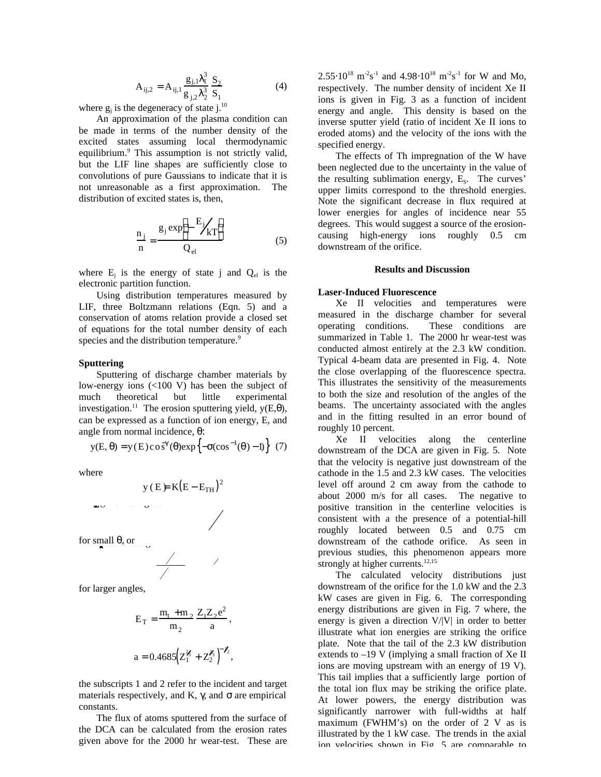$$
A_{ij,2} = A_{ij,1} \frac{g_{j,1}^{3}}{g_{j,2}^{3}} \frac{S_2}{S_1}
$$
 (4)

where  $g_j$  is the degeneracy of state j.<sup>10</sup>

An approximation of the plasma condition can be made in terms of the number density of the excited states assuming local thermodynamic equilibrium.<sup>9</sup> This assumption is not strictly valid, but the LIF line shapes are sufficiently close to convolutions of pure Gaussians to indicate that it is not unreasonable as a first approximation. The distribution of excited states is, then,

$$
\frac{n_j}{n} = \frac{g_j \exp \left(-\frac{E_j}{kT}\right)}{Q_{el}}
$$
 (5)

where  $E_j$  is the energy of state j and  $Q_{el}$  is the electronic partition function.

Using distribution temperatures measured by LIF, three Boltzmann relations (Eqn. 5) and a conservation of atoms relation provide a closed set of equations for the total number density of each species and the distribution temperature.<sup>9</sup>

#### **Sputtering**

Sputtering of discharge chamber materials by low-energy ions (<100 V) has been the subject of much theoretical but little experimental investigation.<sup>11</sup> The erosion sputtering yield,  $y(E, )$ , can be expressed as a function of ion energy, E, and angle from normal incidence, :

$$
y(E, ) = y(E) \cos ( ) \exp \left\{ - (\cos^{-1}(-) - 1) \right\}
$$
 (7)

where

$$
y (E) = K(E - E_{TH})^2
$$

for small  $\theta$ , or

for larger angles,

$$
E_T = \frac{m_1 + m_2}{m_2} \frac{Z_1 Z_2 e^2}{a},
$$
  
a = 0.4685  $\left(Z_1^2 + Z_2^2\right)^{-1/2}$ ,

the subscripts 1 and 2 refer to the incident and target materials respectively, and K, , and are empirical constants.

The flux of atoms sputtered from the surface of the DCA can be calculated from the erosion rates given above for the 2000 hr wear-test. These are

 $2.55 \times 10^{18} \text{ m}^2 \text{s}^{-1}$  and 4.98  $10^{18} \text{ m}^2 \text{s}^{-1}$  for W and Mo, respectively. The number density of incident Xe II ions is given in Fig. 3 as a function of incident energy and angle. This density is based on the inverse sputter yield (ratio of incident Xe II ions to eroded atoms) and the velocity of the ions with the specified energy.

The effects of Th impregnation of the W have been neglected due to the uncertainty in the value of the resulting sublimation energy,  $E_s$ . The curves' upper limits correspond to the threshold energies. Note the significant decrease in flux required at lower energies for angles of incidence near 55 degrees. This would suggest a source of the erosioncausing high-energy ions roughly 0.5 cm downstream of the orifice.

#### **Results and Discussion**

### **Laser-Induced Fluorescence**

Xe II velocities and temperatures were measured in the discharge chamber for several operating conditions. These conditions are summarized in Table 1. The 2000 hr wear-test was conducted almost entirely at the 2.3 kW condition. Typical 4-beam data are presented in Fig. 4. Note the close overlapping of the fluorescence spectra. This illustrates the sensitivity of the measurements to both the size and resolution of the angles of the beams. The uncertainty associated with the angles and in the fitting resulted in an error bound of roughly 10 percent.

Xe II velocities along the centerline downstream of the DCA are given in Fig. 5. Note that the velocity is negative just downstream of the cathode in the 1.5 and 2.3 kW cases. The velocities level off around 2 cm away from the cathode to about 2000 m/s for all cases. The negative to positive transition in the centerline velocities is consistent with a the presence of a potential-hill roughly located between 0.5 and 0.75 cm downstream of the cathode orifice. As seen in previous studies, this phenomenon appears more strongly at higher currents.<sup>12,15</sup>

The calculated velocity distributions just downstream of the orifice for the 1.0 kW and the 2.3 kW cases are given in Fig. 6. The corresponding energy distributions are given in Fig. 7 where, the energy is given a direction  $V/|V|$  in order to better illustrate what ion energies are striking the orifice plate. Note that the tail of the 2.3 kW distribution extends to –19 V (implying a small fraction of Xe II ions are moving upstream with an energy of 19 V). This tail implies that a sufficiently large portion of the total ion flux may be striking the orifice plate. At lower powers, the energy distribution was significantly narrower with full-widths at half maximum (FWHM's) on the order of 2 V as is illustrated by the 1 kW case. The trends in the axial ion velocities shown in Fig. 5 are comparable to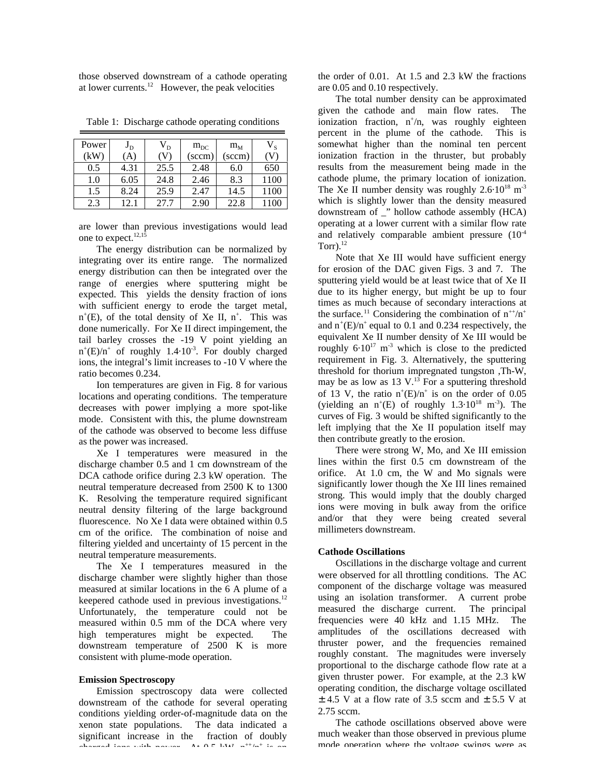those observed downstream of a cathode operating at lower currents.<sup>12</sup> However, the peak velocities

| Power<br>(kW) | $J_D$<br>A) | $\rm V_{D}$ | $m_{DC}$<br>(sccm) | $m_M$<br>(sccm) | $V_{S}$ |
|---------------|-------------|-------------|--------------------|-----------------|---------|
| 0.5           | 4.31        | 25.5        | 2.48               | 6.0             | 650     |
| 1.0           | 6.05        | 24.8        | 2.46               | 8.3             | 1100    |
| 1.5           | 8.24        | 25.9        | 2.47               | 14.5            | 1100    |
| 2.3           | 12.1        | 27.7        | 2.90               | 22.8            | 1100    |

Table 1: Discharge cathode operating conditions

are lower than previous investigations would lead one to expect.<sup>12,15</sup>

The energy distribution can be normalized by integrating over its entire range. The normalized energy distribution can then be integrated over the range of energies where sputtering might be expected. This yields the density fraction of ions with sufficient energy to erode the target metal,  $n^{+}(E)$ , of the total density of Xe II,  $n^{+}$ . This was done numerically. For Xe II direct impingement, the tail barley crosses the -19 V point yielding an  $n^+(E)/n^+$  of roughly 1.4 $\cdot 10^{-3}$ . For doubly charged ions, the integral's limit increases to -10 V where the ratio becomes 0.234.

Ion temperatures are given in Fig. 8 for various locations and operating conditions. The temperature decreases with power implying a more spot-like mode. Consistent with this, the plume downstream of the cathode was observed to become less diffuse as the power was increased.

Xe I temperatures were measured in the discharge chamber 0.5 and 1 cm downstream of the DCA cathode orifice during 2.3 kW operation. The neutral temperature decreased from 2500 K to 1300 K. Resolving the temperature required significant neutral density filtering of the large background fluorescence. No Xe I data were obtained within 0.5 cm of the orifice. The combination of noise and filtering yielded and uncertainty of 15 percent in the neutral temperature measurements.

The Xe I temperatures measured in the discharge chamber were slightly higher than those measured at similar locations in the 6 A plume of a keepered cathode used in previous investigations.<sup>12</sup> Unfortunately, the temperature could not be measured within 0.5 mm of the DCA where very high temperatures might be expected. The downstream temperature of 2500 K is more consistent with plume-mode operation.

### **Emission Spectroscopy**

Emission spectroscopy data were collected downstream of the cathode for several operating conditions yielding order-of-magnitude data on the xenon state populations. The data indicated a significant increase in the fraction of doubly charged ions with power. At  $0.5$  kW, n++/n+ is on

the order of 0.01. At 1.5 and 2.3 kW the fractions are 0.05 and 0.10 respectively.

The total number density can be approximated given the cathode and main flow rates. The ionization fraction, n<sup>+</sup>/n, was roughly eighteen percent in the plume of the cathode. This is somewhat higher than the nominal ten percent ionization fraction in the thruster, but probably results from the measurement being made in the cathode plume, the primary location of ionization. The Xe II number density was roughly  $2.6 \cdot 10^{18}$  m<sup>-3</sup> which is slightly lower than the density measured downstream of \_" hollow cathode assembly (HCA) operating at a lower current with a similar flow rate and relatively comparable ambient pressure  $(10^{-4})$  $Torr$ ).<sup>12</sup>

Note that Xe III would have sufficient energy for erosion of the DAC given Figs. 3 and 7. The sputtering yield would be at least twice that of Xe II due to its higher energy, but might be up to four times as much because of secondary interactions at the surface.<sup>11</sup> Considering the combination of  $n^{+}/n^{+}$ and  $n^+(E)/n^+$  equal to 0.1 and 0.234 respectively, the equivalent Xe II number density of Xe III would be roughly  $6.10^{17}$  m<sup>-3</sup> which is close to the predicted requirement in Fig. 3. Alternatively, the sputtering threshold for thorium impregnated tungston ,Th-W, may be as low as 13 V. $^{13}$  For a sputtering threshold of 13 V, the ratio  $n^{+}(E)/n^{+}$  is on the order of 0.05 (yielding an  $n^+(E)$  of roughly 1.3 $\cdot 10^{18}$  m<sup>-3</sup>). The curves of Fig. 3 would be shifted significantly to the left implying that the Xe II population itself may then contribute greatly to the erosion.

There were strong W, Mo, and Xe III emission lines within the first 0.5 cm downstream of the orifice. At 1.0 cm, the W and Mo signals were significantly lower though the Xe III lines remained strong. This would imply that the doubly charged ions were moving in bulk away from the orifice and/or that they were being created several millimeters downstream.

#### **Cathode Oscillations**

Oscillations in the discharge voltage and current were observed for all throttling conditions. The AC component of the discharge voltage was measured using an isolation transformer. A current probe measured the discharge current. The principal frequencies were 40 kHz and 1.15 MHz. The amplitudes of the oscillations decreased with thruster power, and the frequencies remained roughly constant. The magnitudes were inversely proportional to the discharge cathode flow rate at a given thruster power. For example, at the 2.3 kW operating condition, the discharge voltage oscillated  $\pm$  4.5 V at a flow rate of 3.5 sccm and  $\pm$  5.5 V at 2.75 sccm.

The cathode oscillations observed above were much weaker than those observed in previous plume mode operation where the voltage swings were as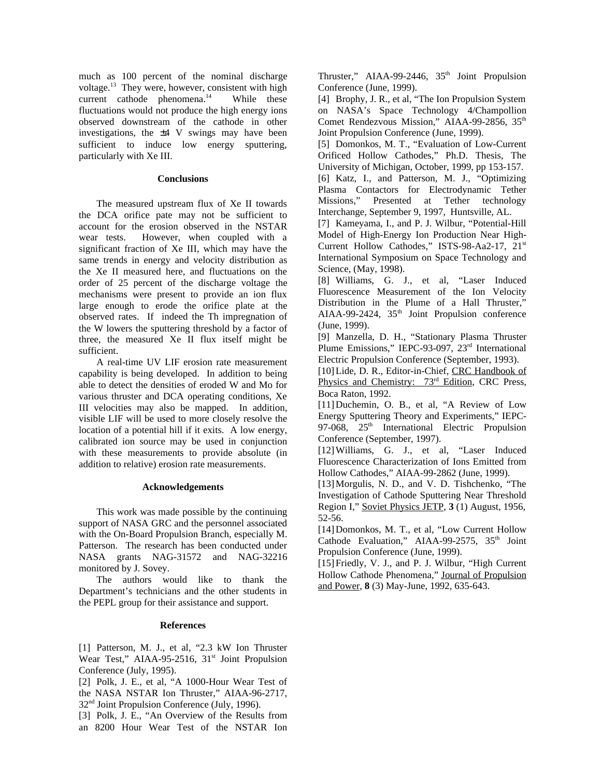much as 100 percent of the nominal discharge voltage.<sup>13</sup> They were, however, consistent with high current cathode phenomena. $14$  While these fluctuations would not produce the high energy ions observed downstream of the cathode in other investigations, the  $\pm 4$  V swings may have been sufficient to induce low energy sputtering, particularly with Xe III.

## **Conclusions**

The measured upstream flux of Xe II towards the DCA orifice pate may not be sufficient to account for the erosion observed in the NSTAR wear tests. However, when coupled with a significant fraction of Xe III, which may have the same trends in energy and velocity distribution as the Xe II measured here, and fluctuations on the order of 25 percent of the discharge voltage the mechanisms were present to provide an ion flux large enough to erode the orifice plate at the observed rates. If indeed the Th impregnation of the W lowers the sputtering threshold by a factor of three, the measured Xe II flux itself might be sufficient.

A real-time UV LIF erosion rate measurement capability is being developed. In addition to being able to detect the densities of eroded W and Mo for various thruster and DCA operating conditions, Xe III velocities may also be mapped. In addition, visible LIF will be used to more closely resolve the location of a potential hill if it exits. A low energy, calibrated ion source may be used in conjunction with these measurements to provide absolute (in addition to relative) erosion rate measurements.

#### **Acknowledgements**

This work was made possible by the continuing support of NASA GRC and the personnel associated with the On-Board Propulsion Branch, especially M. Patterson. The research has been conducted under NASA grants NAG-31572 and NAG-32216 monitored by J. Sovey.

The authors would like to thank the Department's technicians and the other students in the PEPL group for their assistance and support.

#### **References**

[1] Patterson, M. J., et al, "2.3 kW Ion Thruster Wear Test," AIAA-95-2516, 31<sup>st</sup> Joint Propulsion Conference (July, 1995).

[2] Polk, J. E., et al, "A 1000-Hour Wear Test of the NASA NSTAR Ion Thruster," AIAA-96-2717, 32nd Joint Propulsion Conference (July, 1996).

[3] Polk, J. E., "An Overview of the Results from an 8200 Hour Wear Test of the NSTAR Ion Thruster," AIAA-99-2446,  $35<sup>th</sup>$  Joint Propulsion Conference (June, 1999).

[4] Brophy, J. R., et al, "The Ion Propulsion System on NASA's Space Technology 4/Champollion Comet Rendezvous Mission," AIAA-99-2856, 35<sup>th</sup> Joint Propulsion Conference (June, 1999).

[5] Domonkos, M. T., "Evaluation of Low-Current Orificed Hollow Cathodes," Ph.D. Thesis, The University of Michigan, October, 1999, pp 153-157.

[6] Katz, I., and Patterson, M. J., "Optimizing Plasma Contactors for Electrodynamic Tether Missions," Presented at Tether technology Interchange, September 9, 1997, Huntsville, AL.

[7] Kameyama, I., and P. J. Wilbur, "Potential-Hill Model of High-Energy Ion Production Near High-Current Hollow Cathodes," ISTS-98-Aa2-17, 21st International Symposium on Space Technology and Science, (May, 1998).

[8] Williams, G. J., et al, "Laser Induced Fluorescence Measurement of the Ion Velocity Distribution in the Plume of a Hall Thruster," AIAA-99-2424,  $35<sup>th</sup>$  Joint Propulsion conference (June, 1999).

[9] Manzella, D. H., "Stationary Plasma Thruster Plume Emissions," IEPC-93-097, 23<sup>rd</sup> International Electric Propulsion Conference (September, 1993).

[10] Lide, D. R., Editor-in-Chief, CRC Handbook of Physics and Chemistry: 73<sup>rd</sup> Edition, CRC Press, Boca Raton, 1992.

[11]Duchemin, O. B., et al, "A Review of Low Energy Sputtering Theory and Experiments," IEPC-97-068,  $25<sup>th</sup>$  International Electric Propulsion Conference (September, 1997).

[12]Williams, G. J., et al, "Laser Induced Fluorescence Characterization of Ions Emitted from Hollow Cathodes," AIAA-99-2862 (June, 1999).

[13] Morgulis, N. D., and V. D. Tishchenko, "The Investigation of Cathode Sputtering Near Threshold Region I," Soviet Physics JETP, **3** (1) August, 1956, 52-56.

[14]Domonkos, M. T., et al, "Low Current Hollow Cathode Evaluation," AIAA-99-2575,  $35<sup>th</sup>$  Joint Propulsion Conference (June, 1999).

[15] Friedly, V. J., and P. J. Wilbur, "High Current" Hollow Cathode Phenomena," Journal of Propulsion and Power, **8** (3) May-June, 1992, 635-643.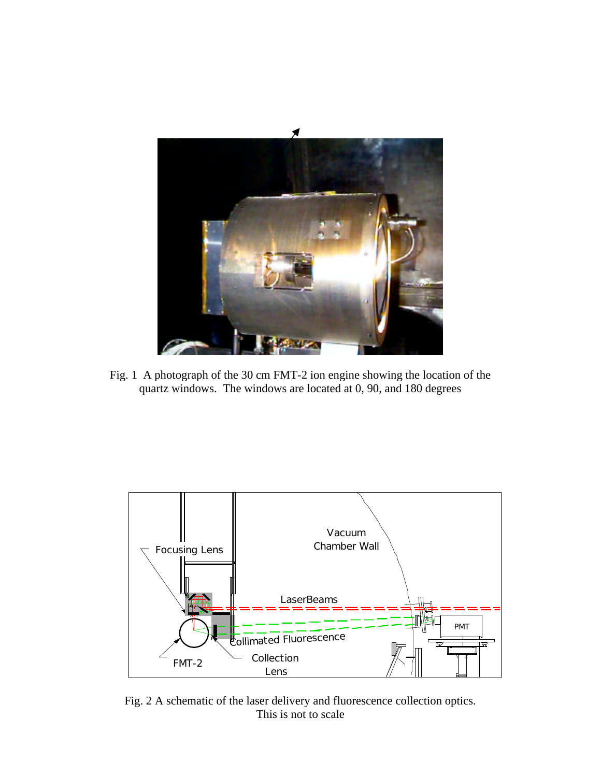

Fig. 1 A photograph of the 30 cm FMT-2 ion engine showing the location of the quartz windows. The windows are located at 0, 90, and 180 degrees



Fig. 2 A schematic of the laser delivery and fluorescence collection optics. This is not to scale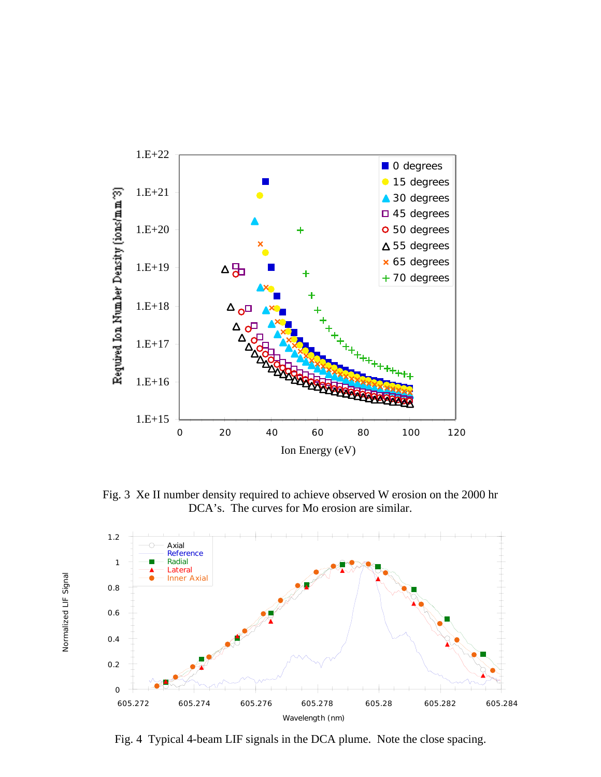

Fig. 3 Xe II number density required to achieve observed W erosion on the 2000 hr DCA's. The curves for Mo erosion are similar.



Fig. 4 Typical 4-beam LIF signals in the DCA plume. Note the close spacing.